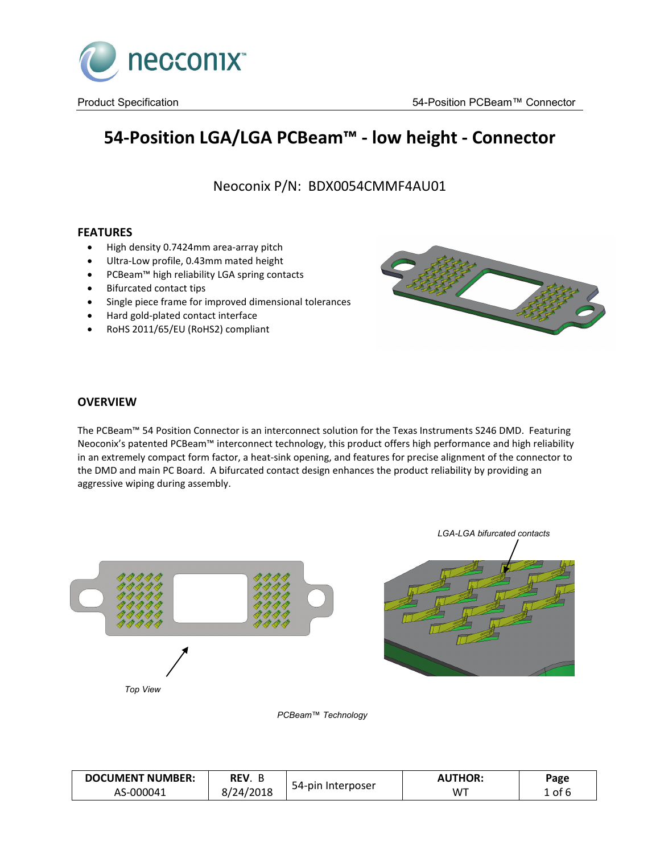

# **54-Position LGA/LGA PCBeam™ - low height - Connector**

Neoconix P/N: BDX0054CMMF4AU01

# **FEATURES**

- High density 0.7424mm area-array pitch
- Ultra-Low profile, 0.43mm mated height
- PCBeam™ high reliability LGA spring contacts
- Bifurcated contact tips
- Single piece frame for improved dimensional tolerances
- Hard gold-plated contact interface
- RoHS 2011/65/EU (RoHS2) compliant



# **OVERVIEW**

The PCBeam™ 54 Position Connector is an interconnect solution for the Texas Instruments S246 DMD. Featuring Neoconix's patented PCBeam™ interconnect technology, this product offers high performance and high reliability in an extremely compact form factor, a heat-sink opening, and features for precise alignment of the connector to the DMD and main PC Board. A bifurcated contact design enhances the product reliability by providing an aggressive wiping during assembly.



*PCBeam™ Technology*

| <b>DOCUMENT NUMBER:</b> | REV.      |                   | <b>AUTHOR:</b> | Page              |
|-------------------------|-----------|-------------------|----------------|-------------------|
| AS-000041               | 8/24/2018 | 54-pin Interposer | WT             | . of <sup>r</sup> |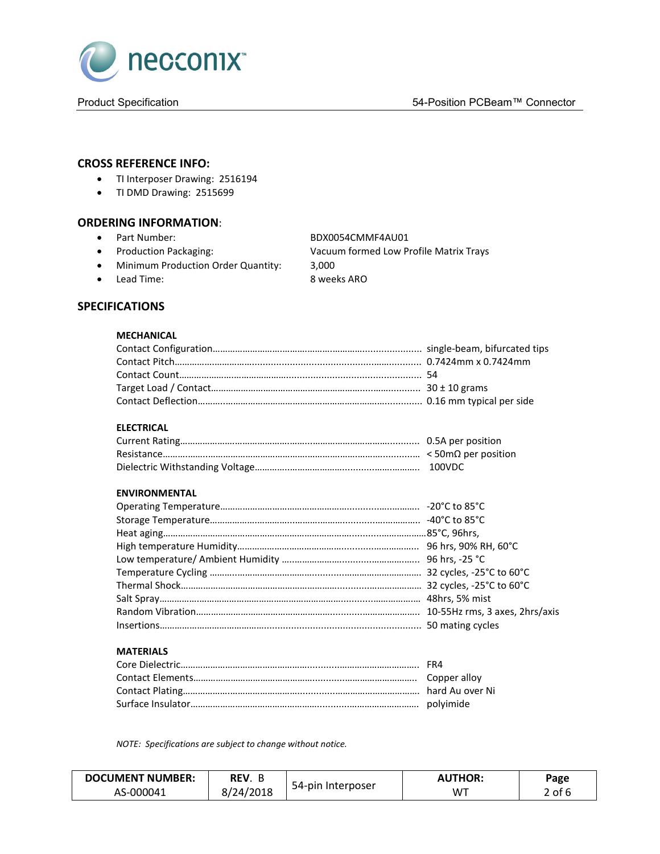

# **CROSS REFERENCE INFO:**

- TI Interposer Drawing: 2516194
- TI DMD Drawing: 2515699

# **ORDERING INFORMATION**:

• Part Number: BDX0054CMMF4AU01

- 
- Production Packaging: Vacuum formed Low Profile Matrix Trays • Minimum Production Order Quantity: 3,000 • Lead Time: 8 weeks ARO

# **SPECIFICATIONS**

#### **MECHANICAL**

#### **ELECTRICAL**

#### **ENVIRONMENTAL**

#### **MATERIALS**

*NOTE: Specifications are subject to change without notice.*

| <b>DOCUMENT NUMBER:</b> | REV.      |                   | <b>AUTHOR:</b> | Page   |
|-------------------------|-----------|-------------------|----------------|--------|
| AS-000041               | 8/24/2018 | 54-pin Interposer | WT             | 2 of 6 |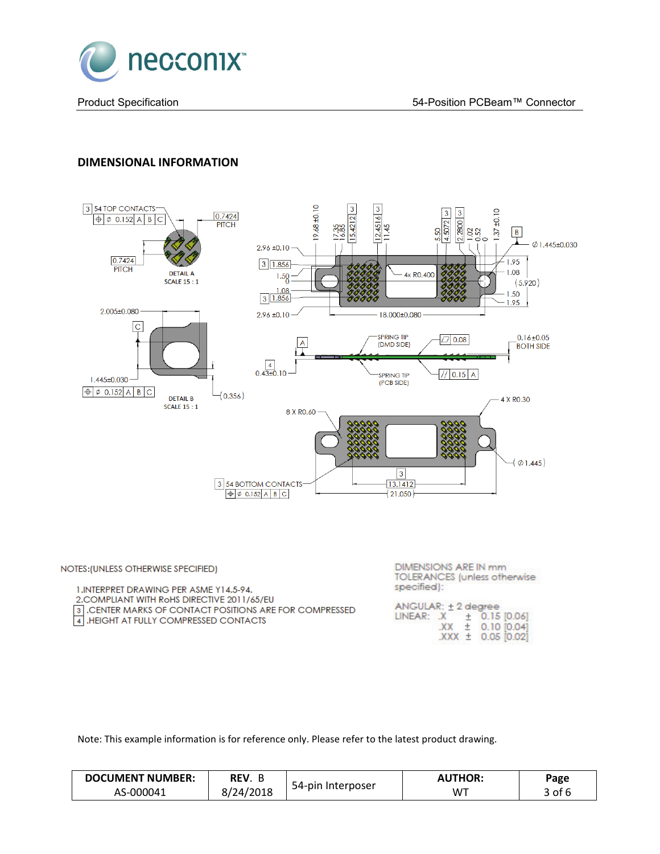

# **DIMENSIONAL INFORMATION**



| NOTES: (UNLESS OTHERWISE SPECIFIED)                                                                                                              | DIMENSIONS ARE IN mm<br><b>TOLERANCES</b> (unless otherwise)                                     |
|--------------------------------------------------------------------------------------------------------------------------------------------------|--------------------------------------------------------------------------------------------------|
| 1. INTERPRET DRAWING PER ASME Y14.5-94.                                                                                                          | specified):                                                                                      |
| 2. COMPLIANT WITH ROHS DIRECTIVE 2011/65/EU<br>3. CENTER MARKS OF CONTACT POSITIONS ARE FOR COMPRESSED<br>4. HEIGHT AT FULLY COMPRESSED CONTACTS | ANGULAR: +2 degree<br>LINEAR: X + 0.15 [0.06]<br>$XX \pm 0.10$ $[0.04]$<br>$XXX \pm 0.05$ [0.02] |

Note: This example information is for reference only. Please refer to the latest product drawing.

| <b>DOCUMENT NUMBER:</b> | REV.    |                   | <b>''ITHOR:</b> | Page   |
|-------------------------|---------|-------------------|-----------------|--------|
| AS-000041               | 24/2018 | 54-pin Interposer | WT              | 3 of F |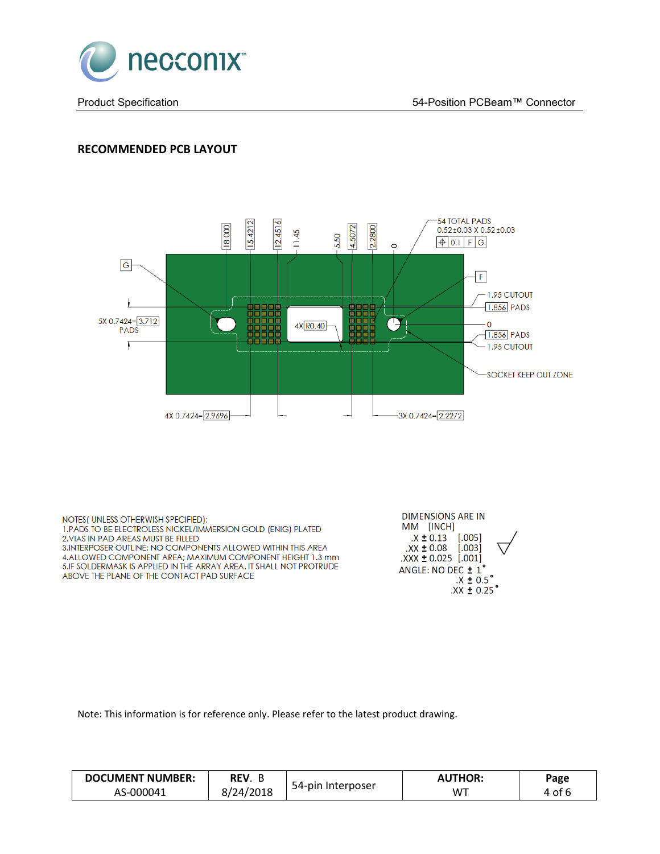

# **RECOMMENDED PCB LAYOUT**



NOTES (UNLESS OTHERWISH SPECIFIED): 1. PADS TO BE ELECTROLESS NICKEL/IMMERSION GOLD (ENIG) PLATED 2. VIAS IN PAD AREAS MUST BE FILLED 3. INTERPOSER OUTLINE; NO COMPONENTS ALLOWED WITHIN THIS AREA 4.ALLOWED COMPONENT AREA; MAXIMUM COMPONENT HEIGHT 1.3 mm 5.IF SOLDERMASK IS APPLIED IN THE ARRAY AREA. IT SHALL NOT PROTRUDE ABOVE THE PLANE OF THE CONTACT PAD SURFACE



Note: This information is for reference only. Please refer to the latest product drawing.

| <b>DOCUMENT NUMBER:</b> | REV.      |                   | <b>UTHOR:</b> | Page |
|-------------------------|-----------|-------------------|---------------|------|
| AS-000041               | 8/24/2018 | 54-pin Interposer | WT            | of 6 |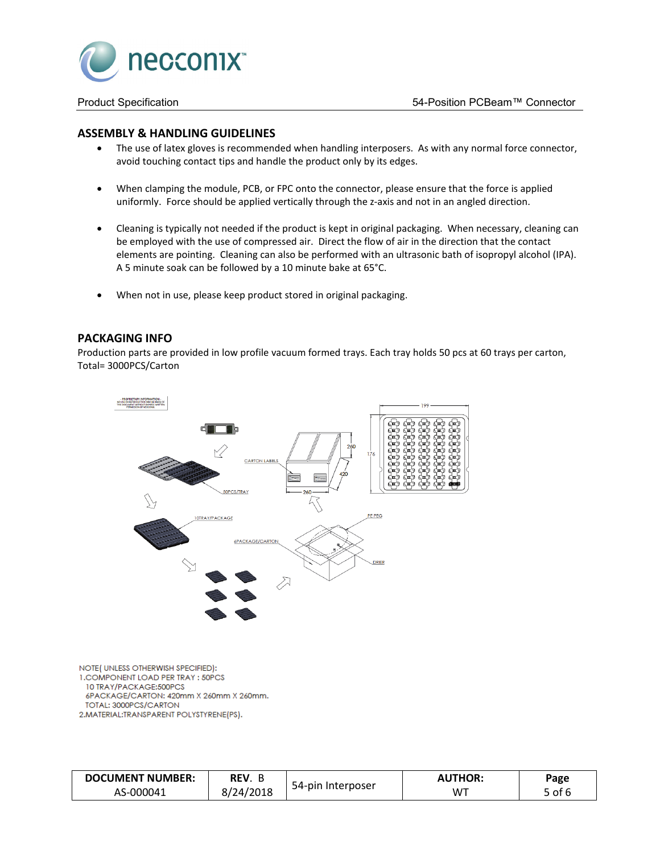

#### **ASSEMBLY & HANDLING GUIDELINES**

- The use of latex gloves is recommended when handling interposers. As with any normal force connector, avoid touching contact tips and handle the product only by its edges.
- When clamping the module, PCB, or FPC onto the connector, please ensure that the force is applied uniformly. Force should be applied vertically through the z-axis and not in an angled direction.
- Cleaning is typically not needed if the product is kept in original packaging. When necessary, cleaning can be employed with the use of compressed air. Direct the flow of air in the direction that the contact elements are pointing. Cleaning can also be performed with an ultrasonic bath of isopropyl alcohol (IPA). A 5 minute soak can be followed by a 10 minute bake at 65°C.
- When not in use, please keep product stored in original packaging.

# **PACKAGING INFO**

Production parts are provided in low profile vacuum formed trays. Each tray holds 50 pcs at 60 trays per carton, Total= 3000PCS/Carton



NOTE(UNLESS OTHERWISH SPECIFIED): 1. COMPONENT LOAD PER TRAY : 50PCS 10 TRAY/PACKAGE:500PCS 6PACKAGE/CARTON: 420mm X 260mm X 260mm. TOTAL: 3000PCS/CARTON 2.MATERIAL:TRANSPARENT POLYSTYRENE(PS).

| <b>DOCUMENT NUMBER:</b> | REV.     |                        | <b>AUTHOR:</b> | Page   |
|-------------------------|----------|------------------------|----------------|--------|
| AS-000041               | /24/2018 | 54-pin<br>. Interposer | W <sup>T</sup> | ٬ of د |